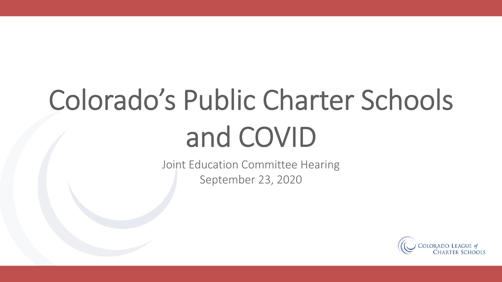## Colorado's Public Charter Schools and COVID

Joint Education Committee Hearing September 23, 2020

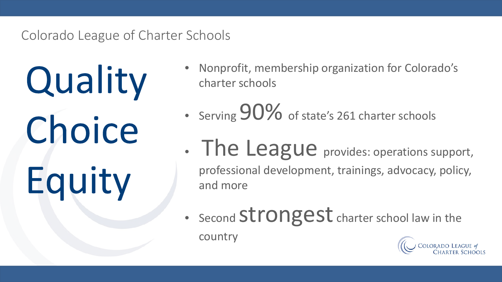### Colorado League of Charter Schools

Quality Choice Equity

- Nonprofit, membership organization for Colorado's charter schools
- Serving 90% of state's 261 charter schools
- The League provides: operations support, professional development, trainings, advocacy, policy, and more
- Second Strongest charter school law in the country

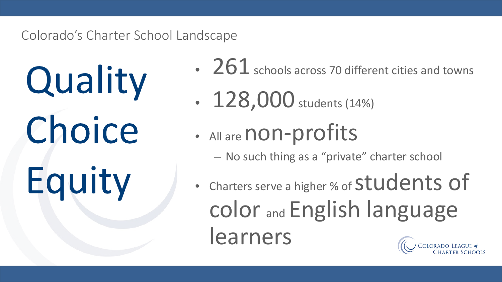### Colorado's Charter School Landscape

Quality Choice Equity

- 261 schools across 70 different cities and towns
- $128,000$  students (14%)
- All are non-profits
	- No such thing as a "private" charter school
- Charters serve a higher % of Students of color and English language learners**COLORADO LEAGUE O**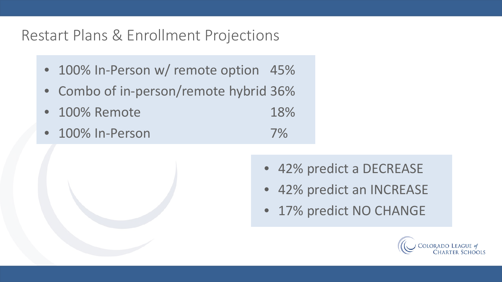### Restart Plans & Enrollment Projections

- 100% In-Person w/ remote option 45%
- Combo of in-person/remote hybrid 36%
- 100% Remote 18%
- 100% In-Person 7%
	- 42% predict a DECREASE
	- 42% predict an INCREASE
	- 17% predict NO CHANGE

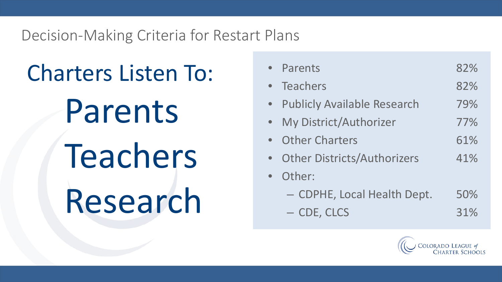Decision-Making Criteria for Restart Plans

Charters Listen To:

Parents

Teachers Research

| • Parents                          | 82% |
|------------------------------------|-----|
| • Teachers                         | 82% |
| <b>Publicly Available Research</b> | 79% |
| My District/Authorizer             | 77% |
| <b>Other Charters</b>              | 61% |
| <b>Other Districts/Authorizers</b> | 41% |
| Other:                             |     |
| - CDPHE, Local Health Dept.        | 50% |
| - CDE, CLCS                        | 31% |

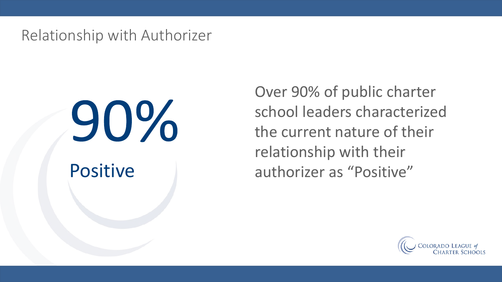Relationship with Authorizer

# 90%

Over 90% of public charter school leaders characterized the current nature of their relationship with their Positive authorizer as "Positive"

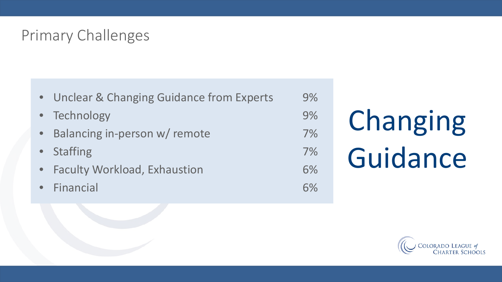### Primary Challenges

• Unclear & Changing Guidance from Experts 9% • Technology 9% Balancing in-person w/ remote and the matrix of  $7\%$ • Staffing 7% Faculty Workload, Exhaustion 6% • Financial 6%

# Changing Guidance